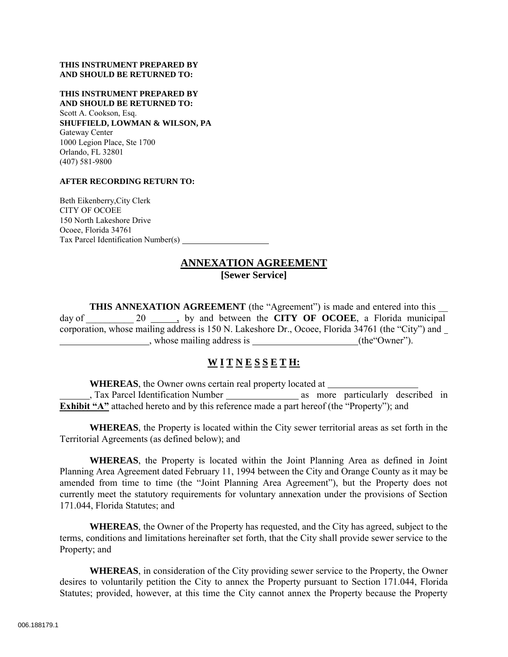#### **THIS INSTRUMENT PREPARED BY AND SHOULD BE RETURNED TO:**

**THIS INSTRUMENT PREPARED BY AND SHOULD BE RETURNED TO:** Scott A. Cookson, Esq. **SHUFFIELD, LOWMAN & WILSON, PA**  Gateway Center 1000 Legion Place, Ste 1700 Orlando, FL 32801 (407) 581-9800

#### **AFTER RECORDING RETURN TO:**

Beth Eikenberry,City Clerk CITY OF OCOEE 150 North Lakeshore Drive Ocoee, Florida 34761 Tax Parcel Identification Number(s)

#### **ANNEXATION AGREEMENT [Sewer Service]**

**THIS ANNEXATION AGREEMENT** (the "Agreement") is made and entered into this day of 20  $\qquad$  by and between the **CITY OF OCOEE**, a Florida municipal corporation, whose mailing address is 150 N. Lakeshore Dr., Ocoee, Florida 34761 (the "City") and , whose mailing address is (the"Owner").

## **W I T N E S S E T H:**

**WHEREAS**, the Owner owns certain real property located at , Tax Parcel Identification Number as more particularly described in **Exhibit "A"** attached hereto and by this reference made a part hereof (the "Property"); and

**WHEREAS**, the Property is located within the City sewer territorial areas as set forth in the Territorial Agreements (as defined below); and

**WHEREAS**, the Property is located within the Joint Planning Area as defined in Joint Planning Area Agreement dated February 11, 1994 between the City and Orange County as it may be amended from time to time (the "Joint Planning Area Agreement"), but the Property does not currently meet the statutory requirements for voluntary annexation under the provisions of Section 171.044, Florida Statutes; and

**WHEREAS**, the Owner of the Property has requested, and the City has agreed, subject to the terms, conditions and limitations hereinafter set forth, that the City shall provide sewer service to the Property; and

**WHEREAS**, in consideration of the City providing sewer service to the Property, the Owner desires to voluntarily petition the City to annex the Property pursuant to Section 171.044, Florida Statutes; provided, however, at this time the City cannot annex the Property because the Property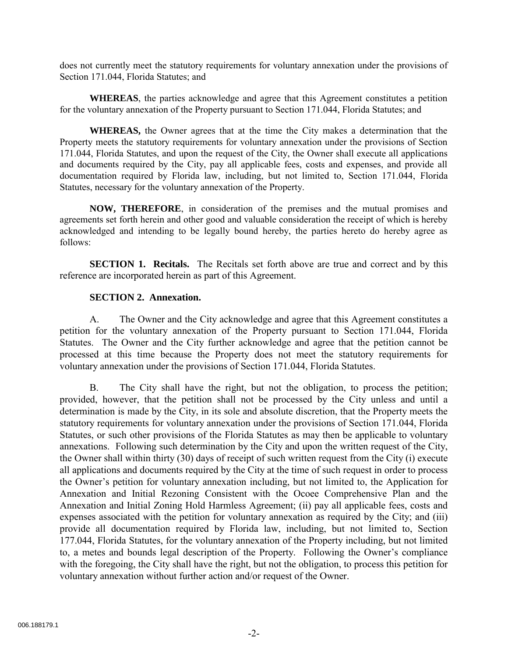does not currently meet the statutory requirements for voluntary annexation under the provisions of Section 171.044, Florida Statutes; and

**WHEREAS**, the parties acknowledge and agree that this Agreement constitutes a petition for the voluntary annexation of the Property pursuant to Section 171.044, Florida Statutes; and

**WHEREAS,** the Owner agrees that at the time the City makes a determination that the Property meets the statutory requirements for voluntary annexation under the provisions of Section 171.044, Florida Statutes, and upon the request of the City, the Owner shall execute all applications and documents required by the City, pay all applicable fees, costs and expenses, and provide all documentation required by Florida law, including, but not limited to, Section 171.044, Florida Statutes, necessary for the voluntary annexation of the Property.

**NOW, THEREFORE**, in consideration of the premises and the mutual promises and agreements set forth herein and other good and valuable consideration the receipt of which is hereby acknowledged and intending to be legally bound hereby, the parties hereto do hereby agree as follows:

**SECTION 1. Recitals.** The Recitals set forth above are true and correct and by this reference are incorporated herein as part of this Agreement.

#### **SECTION 2. Annexation.**

A. The Owner and the City acknowledge and agree that this Agreement constitutes a petition for the voluntary annexation of the Property pursuant to Section 171.044, Florida Statutes. The Owner and the City further acknowledge and agree that the petition cannot be processed at this time because the Property does not meet the statutory requirements for voluntary annexation under the provisions of Section 171.044, Florida Statutes.

B. The City shall have the right, but not the obligation, to process the petition; provided, however, that the petition shall not be processed by the City unless and until a determination is made by the City, in its sole and absolute discretion, that the Property meets the statutory requirements for voluntary annexation under the provisions of Section 171.044, Florida Statutes, or such other provisions of the Florida Statutes as may then be applicable to voluntary annexations. Following such determination by the City and upon the written request of the City, the Owner shall within thirty (30) days of receipt of such written request from the City (i) execute all applications and documents required by the City at the time of such request in order to process the Owner's petition for voluntary annexation including, but not limited to, the Application for Annexation and Initial Rezoning Consistent with the Ocoee Comprehensive Plan and the Annexation and Initial Zoning Hold Harmless Agreement; (ii) pay all applicable fees, costs and expenses associated with the petition for voluntary annexation as required by the City; and (iii) provide all documentation required by Florida law, including, but not limited to, Section 177.044, Florida Statutes, for the voluntary annexation of the Property including, but not limited to, a metes and bounds legal description of the Property. Following the Owner's compliance with the foregoing, the City shall have the right, but not the obligation, to process this petition for voluntary annexation without further action and/or request of the Owner.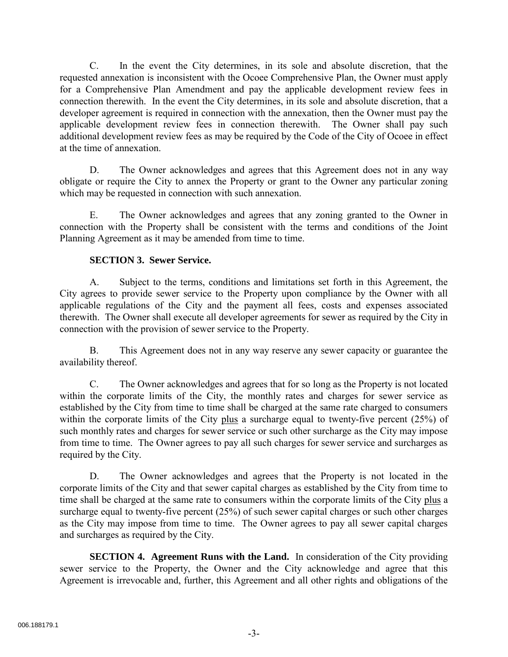C. In the event the City determines, in its sole and absolute discretion, that the requested annexation is inconsistent with the Ocoee Comprehensive Plan, the Owner must apply for a Comprehensive Plan Amendment and pay the applicable development review fees in connection therewith. In the event the City determines, in its sole and absolute discretion, that a developer agreement is required in connection with the annexation, then the Owner must pay the applicable development review fees in connection therewith. The Owner shall pay such additional development review fees as may be required by the Code of the City of Ocoee in effect at the time of annexation.

D. The Owner acknowledges and agrees that this Agreement does not in any way obligate or require the City to annex the Property or grant to the Owner any particular zoning which may be requested in connection with such annexation.

E. The Owner acknowledges and agrees that any zoning granted to the Owner in connection with the Property shall be consistent with the terms and conditions of the Joint Planning Agreement as it may be amended from time to time.

## **SECTION 3. Sewer Service.**

A. Subject to the terms, conditions and limitations set forth in this Agreement, the City agrees to provide sewer service to the Property upon compliance by the Owner with all applicable regulations of the City and the payment all fees, costs and expenses associated therewith. The Owner shall execute all developer agreements for sewer as required by the City in connection with the provision of sewer service to the Property.

B. This Agreement does not in any way reserve any sewer capacity or guarantee the availability thereof.

C. The Owner acknowledges and agrees that for so long as the Property is not located within the corporate limits of the City, the monthly rates and charges for sewer service as established by the City from time to time shall be charged at the same rate charged to consumers within the corporate limits of the City plus a surcharge equal to twenty-five percent (25%) of such monthly rates and charges for sewer service or such other surcharge as the City may impose from time to time. The Owner agrees to pay all such charges for sewer service and surcharges as required by the City.

D. The Owner acknowledges and agrees that the Property is not located in the corporate limits of the City and that sewer capital charges as established by the City from time to time shall be charged at the same rate to consumers within the corporate limits of the City plus a surcharge equal to twenty-five percent (25%) of such sewer capital charges or such other charges as the City may impose from time to time. The Owner agrees to pay all sewer capital charges and surcharges as required by the City.

**SECTION 4. Agreement Runs with the Land.** In consideration of the City providing sewer service to the Property, the Owner and the City acknowledge and agree that this Agreement is irrevocable and, further, this Agreement and all other rights and obligations of the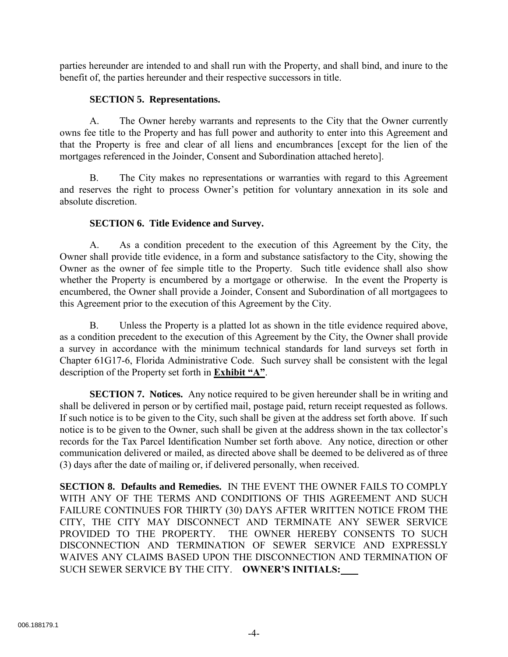parties hereunder are intended to and shall run with the Property, and shall bind, and inure to the benefit of, the parties hereunder and their respective successors in title.

## **SECTION 5. Representations.**

A. The Owner hereby warrants and represents to the City that the Owner currently owns fee title to the Property and has full power and authority to enter into this Agreement and that the Property is free and clear of all liens and encumbrances [except for the lien of the mortgages referenced in the Joinder, Consent and Subordination attached hereto].

B. The City makes no representations or warranties with regard to this Agreement and reserves the right to process Owner's petition for voluntary annexation in its sole and absolute discretion.

## **SECTION 6. Title Evidence and Survey.**

A. As a condition precedent to the execution of this Agreement by the City, the Owner shall provide title evidence, in a form and substance satisfactory to the City, showing the Owner as the owner of fee simple title to the Property. Such title evidence shall also show whether the Property is encumbered by a mortgage or otherwise. In the event the Property is encumbered, the Owner shall provide a Joinder, Consent and Subordination of all mortgagees to this Agreement prior to the execution of this Agreement by the City.

B. Unless the Property is a platted lot as shown in the title evidence required above, as a condition precedent to the execution of this Agreement by the City, the Owner shall provide a survey in accordance with the minimum technical standards for land surveys set forth in Chapter 61G17-6, Florida Administrative Code. Such survey shall be consistent with the legal description of the Property set forth in **Exhibit "A"**.

**SECTION 7. Notices.** Any notice required to be given hereunder shall be in writing and shall be delivered in person or by certified mail, postage paid, return receipt requested as follows. If such notice is to be given to the City, such shall be given at the address set forth above. If such notice is to be given to the Owner, such shall be given at the address shown in the tax collector's records for the Tax Parcel Identification Number set forth above. Any notice, direction or other communication delivered or mailed, as directed above shall be deemed to be delivered as of three (3) days after the date of mailing or, if delivered personally, when received.

**SECTION 8. Defaults and Remedies.** IN THE EVENT THE OWNER FAILS TO COMPLY WITH ANY OF THE TERMS AND CONDITIONS OF THIS AGREEMENT AND SUCH FAILURE CONTINUES FOR THIRTY (30) DAYS AFTER WRITTEN NOTICE FROM THE CITY, THE CITY MAY DISCONNECT AND TERMINATE ANY SEWER SERVICE PROVIDED TO THE PROPERTY. THE OWNER HEREBY CONSENTS TO SUCH DISCONNECTION AND TERMINATION OF SEWER SERVICE AND EXPRESSLY WAIVES ANY CLAIMS BASED UPON THE DISCONNECTION AND TERMINATION OF SUCH SEWER SERVICE BY THE CITY. **OWNER'S INITIALS:**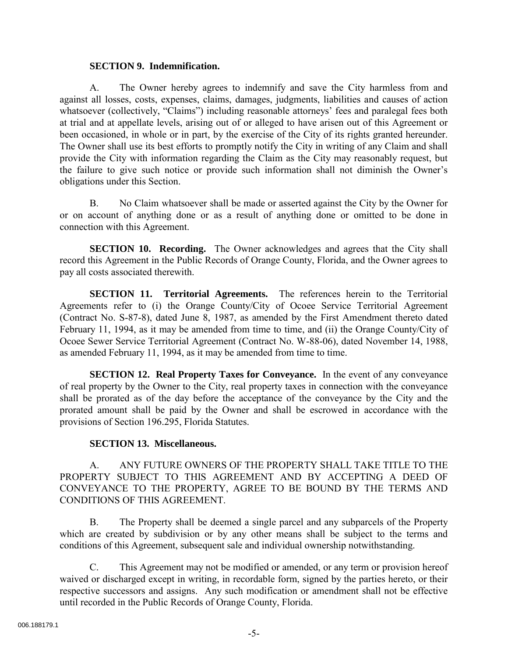### **SECTION 9. Indemnification.**

A. The Owner hereby agrees to indemnify and save the City harmless from and against all losses, costs, expenses, claims, damages, judgments, liabilities and causes of action whatsoever (collectively, "Claims") including reasonable attorneys' fees and paralegal fees both at trial and at appellate levels, arising out of or alleged to have arisen out of this Agreement or been occasioned, in whole or in part, by the exercise of the City of its rights granted hereunder. The Owner shall use its best efforts to promptly notify the City in writing of any Claim and shall provide the City with information regarding the Claim as the City may reasonably request, but the failure to give such notice or provide such information shall not diminish the Owner's obligations under this Section.

B. No Claim whatsoever shall be made or asserted against the City by the Owner for or on account of anything done or as a result of anything done or omitted to be done in connection with this Agreement.

**SECTION 10. Recording.** The Owner acknowledges and agrees that the City shall record this Agreement in the Public Records of Orange County, Florida, and the Owner agrees to pay all costs associated therewith.

**SECTION 11. Territorial Agreements.** The references herein to the Territorial Agreements refer to (i) the Orange County/City of Ocoee Service Territorial Agreement (Contract No. S-87-8), dated June 8, 1987, as amended by the First Amendment thereto dated February 11, 1994, as it may be amended from time to time, and (ii) the Orange County/City of Ocoee Sewer Service Territorial Agreement (Contract No. W-88-06), dated November 14, 1988, as amended February 11, 1994, as it may be amended from time to time.

**SECTION 12. Real Property Taxes for Conveyance.** In the event of any conveyance of real property by the Owner to the City, real property taxes in connection with the conveyance shall be prorated as of the day before the acceptance of the conveyance by the City and the prorated amount shall be paid by the Owner and shall be escrowed in accordance with the provisions of Section 196.295, Florida Statutes.

## **SECTION 13. Miscellaneous.**

A. ANY FUTURE OWNERS OF THE PROPERTY SHALL TAKE TITLE TO THE PROPERTY SUBJECT TO THIS AGREEMENT AND BY ACCEPTING A DEED OF CONVEYANCE TO THE PROPERTY, AGREE TO BE BOUND BY THE TERMS AND CONDITIONS OF THIS AGREEMENT.

B. The Property shall be deemed a single parcel and any subparcels of the Property which are created by subdivision or by any other means shall be subject to the terms and conditions of this Agreement, subsequent sale and individual ownership notwithstanding.

C. This Agreement may not be modified or amended, or any term or provision hereof waived or discharged except in writing, in recordable form, signed by the parties hereto, or their respective successors and assigns. Any such modification or amendment shall not be effective until recorded in the Public Records of Orange County, Florida.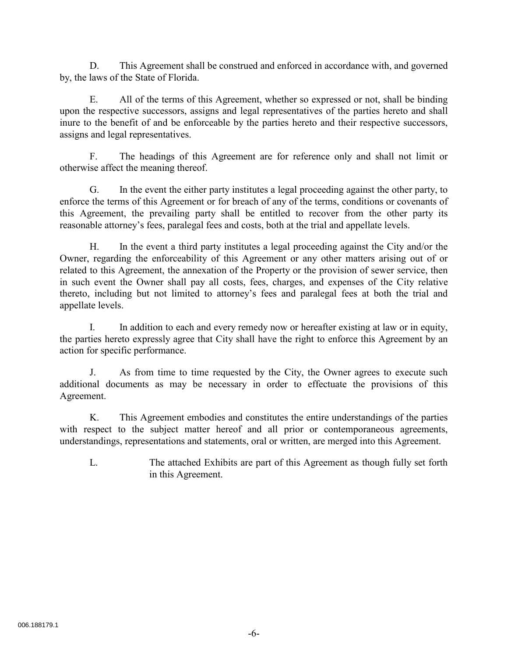D. This Agreement shall be construed and enforced in accordance with, and governed by, the laws of the State of Florida.

E. All of the terms of this Agreement, whether so expressed or not, shall be binding upon the respective successors, assigns and legal representatives of the parties hereto and shall inure to the benefit of and be enforceable by the parties hereto and their respective successors, assigns and legal representatives.

F. The headings of this Agreement are for reference only and shall not limit or otherwise affect the meaning thereof.

G. In the event the either party institutes a legal proceeding against the other party, to enforce the terms of this Agreement or for breach of any of the terms, conditions or covenants of this Agreement, the prevailing party shall be entitled to recover from the other party its reasonable attorney's fees, paralegal fees and costs, both at the trial and appellate levels.

H. In the event a third party institutes a legal proceeding against the City and/or the Owner, regarding the enforceability of this Agreement or any other matters arising out of or related to this Agreement, the annexation of the Property or the provision of sewer service, then in such event the Owner shall pay all costs, fees, charges, and expenses of the City relative thereto, including but not limited to attorney's fees and paralegal fees at both the trial and appellate levels.

I. In addition to each and every remedy now or hereafter existing at law or in equity, the parties hereto expressly agree that City shall have the right to enforce this Agreement by an action for specific performance.

J. As from time to time requested by the City, the Owner agrees to execute such additional documents as may be necessary in order to effectuate the provisions of this Agreement.

K. This Agreement embodies and constitutes the entire understandings of the parties with respect to the subject matter hereof and all prior or contemporaneous agreements, understandings, representations and statements, oral or written, are merged into this Agreement.

L. The attached Exhibits are part of this Agreement as though fully set forth in this Agreement.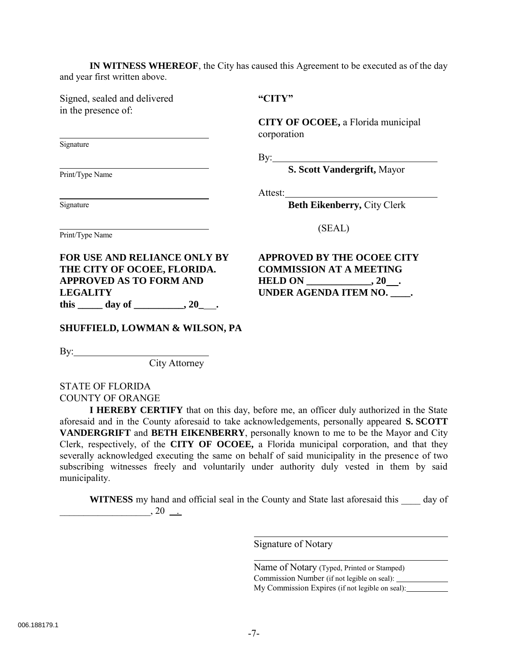**IN WITNESS WHEREOF**, the City has caused this Agreement to be executed as of the day and year first written above.

Signed, sealed and delivered in the presence of:

Signature

Signature

Print/Type Name

**"CITY"**

**CITY OF OCOEE,** a Florida municipal corporation

By:

**S. Scott Vandergrift,** Mayor

Attest:

**Beth Eikenberry,** City Clerk

Print/Type Name

**FOR USE AND RELIANCE ONLY BY THE CITY OF OCOEE, FLORIDA. APPROVED AS TO FORM AND LEGALITY** this \_\_\_\_\_\_ day of \_\_\_\_\_\_\_\_\_, 20\_\_\_.

**APPROVED BY THE OCOEE CITY**

(SEAL)

**COMMISSION AT A MEETING HELD ON \_\_\_\_\_\_\_\_\_\_\_\_\_, 20 . UNDER AGENDA ITEM NO. \_\_\_\_.**

**SHUFFIELD, LOWMAN & WILSON, PA**

 $\mathbf{By:}$ 

City Attorney

STATE OF FLORIDA COUNTY OF ORANGE

**I HEREBY CERTIFY** that on this day, before me, an officer duly authorized in the State aforesaid and in the County aforesaid to take acknowledgements, personally appeared **S. SCOTT VANDERGRIFT** and **BETH EIKENBERRY**, personally known to me to be the Mayor and City Clerk, respectively, of the **CITY OF OCOEE,** a Florida municipal corporation, and that they severally acknowledged executing the same on behalf of said municipality in the presence of two subscribing witnesses freely and voluntarily under authority duly vested in them by said municipality.

**WITNESS** my hand and official seal in the County and State last aforesaid this \_\_\_\_ day of  $\frac{1}{20}$  ...

 $\overline{a}$ 

Signature of Notary

Name of Notary (Typed, Printed or Stamped) Commission Number (if not legible on seal): My Commission Expires (if not legible on seal):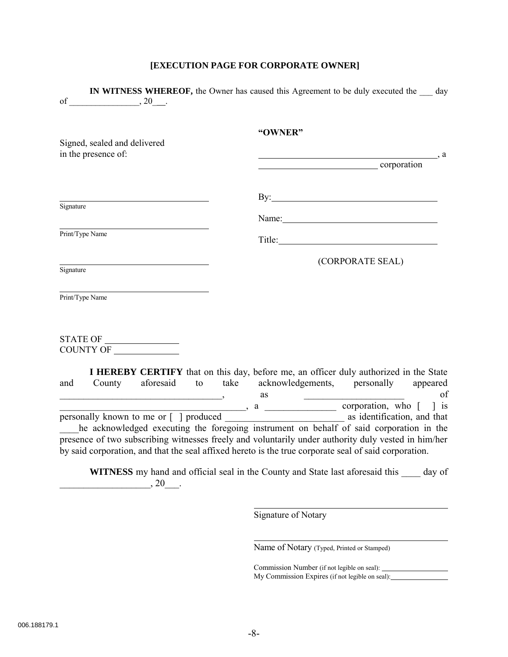## **[EXECUTION PAGE FOR CORPORATE OWNER]**

|                                                     |                 |                                                 |  | "OWNER"                                                                                                                                                                                                                                                                                                                                                                    |
|-----------------------------------------------------|-----------------|-------------------------------------------------|--|----------------------------------------------------------------------------------------------------------------------------------------------------------------------------------------------------------------------------------------------------------------------------------------------------------------------------------------------------------------------------|
| Signed, sealed and delivered<br>in the presence of: |                 |                                                 |  |                                                                                                                                                                                                                                                                                                                                                                            |
|                                                     |                 |                                                 |  | corporation                                                                                                                                                                                                                                                                                                                                                                |
|                                                     |                 |                                                 |  | By: $\qquad \qquad$ $\qquad \qquad$ $\qquad \qquad$ $\qquad \qquad$ $\qquad \qquad$ $\qquad \qquad$ $\qquad \qquad$ $\qquad \qquad$ $\qquad \qquad$ $\qquad \qquad$ $\qquad \qquad$ $\qquad \qquad$ $\qquad \qquad$ $\qquad \qquad$ $\qquad$ $\qquad$ $\qquad$ $\qquad$ $\qquad$ $\qquad$ $\qquad$ $\qquad$ $\qquad$ $\qquad$ $\qquad$ $\qquad$ $\qquad$ $\qquad$ $\qquad$ |
| Signature                                           |                 |                                                 |  |                                                                                                                                                                                                                                                                                                                                                                            |
|                                                     |                 |                                                 |  | Name:                                                                                                                                                                                                                                                                                                                                                                      |
|                                                     | Print/Type Name |                                                 |  | Title: Title:                                                                                                                                                                                                                                                                                                                                                              |
|                                                     |                 |                                                 |  | (CORPORATE SEAL)                                                                                                                                                                                                                                                                                                                                                           |
| Signature                                           |                 |                                                 |  |                                                                                                                                                                                                                                                                                                                                                                            |
|                                                     |                 |                                                 |  |                                                                                                                                                                                                                                                                                                                                                                            |
|                                                     | Print/Type Name |                                                 |  |                                                                                                                                                                                                                                                                                                                                                                            |
|                                                     |                 |                                                 |  |                                                                                                                                                                                                                                                                                                                                                                            |
|                                                     |                 | $\begin{tabular}{c} \bf STATE OF \end{tabular}$ |  |                                                                                                                                                                                                                                                                                                                                                                            |
|                                                     | COUNTY OF       |                                                 |  |                                                                                                                                                                                                                                                                                                                                                                            |
|                                                     |                 |                                                 |  | I HEREBY CERTIFY that on this day, before me, an officer duly authorized in the State                                                                                                                                                                                                                                                                                      |
| and                                                 |                 |                                                 |  | County aforesaid to take acknowledgements, personally appeared                                                                                                                                                                                                                                                                                                             |
|                                                     |                 |                                                 |  |                                                                                                                                                                                                                                                                                                                                                                            |
|                                                     |                 |                                                 |  |                                                                                                                                                                                                                                                                                                                                                                            |
|                                                     |                 |                                                 |  | he acknowledged executing the foregoing instrument on behalf of said corporation in the                                                                                                                                                                                                                                                                                    |
|                                                     |                 |                                                 |  | presence of two subscribing witnesses freely and voluntarily under authority duly vested in him/her                                                                                                                                                                                                                                                                        |
|                                                     |                 |                                                 |  | by said corporation, and that the seal affixed hereto is the true corporate seal of said corporation.                                                                                                                                                                                                                                                                      |
|                                                     |                 |                                                 |  | <b>WITNESS</b> my hand and official seal in the County and State last aforesaid this day of                                                                                                                                                                                                                                                                                |
|                                                     |                 | , 20                                            |  |                                                                                                                                                                                                                                                                                                                                                                            |
|                                                     |                 |                                                 |  |                                                                                                                                                                                                                                                                                                                                                                            |

Signature of Notary

Name of Notary (Typed, Printed or Stamped)

Commission Number (if not legible on seal): My Commission Expires (if not legible on seal):

 $\overline{a}$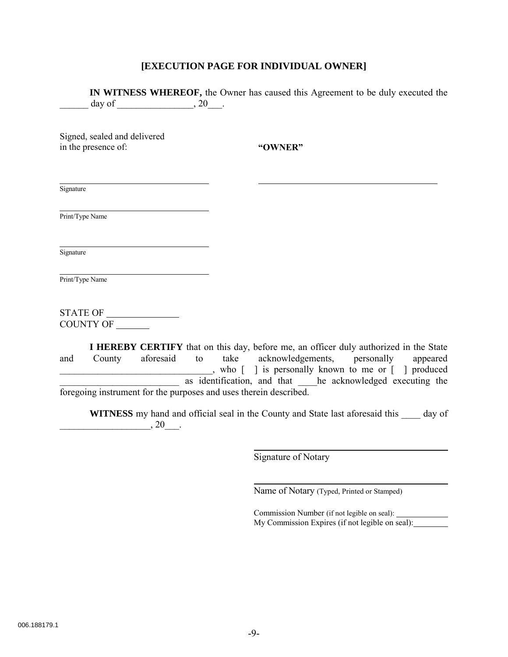### **[EXECUTION PAGE FOR INDIVIDUAL OWNER]**

**IN WITNESS WHEREOF,** the Owner has caused this Agreement to be duly executed the day of \_\_\_\_\_\_\_\_\_\_\_\_\_\_\_\_, 20\_\_\_.

Signed, sealed and delivered in the presence of:

**"OWNER"**

Signature

Print/Type Name

Signature

Print/Type Name

STATE OF COUNTY OF

**I HEREBY CERTIFY** that on this day, before me, an officer duly authorized in the State and County aforesaid to take acknowledgements, personally appeared who [ ] is personally known to me or [ ] produced as identification, and that \_\_\_he acknowledged executing the foregoing instrument for the purposes and uses therein described.

**WITNESS** my hand and official seal in the County and State last aforesaid this \_\_\_\_ day of  $\frac{1}{20}$ , 20\_\_\_.

 $\overline{\phantom{0}}$ 

 $\overline{\phantom{0}}$ 

Signature of Notary

Name of Notary (Typed, Printed or Stamped)

Commission Number (if not legible on seal): My Commission Expires (if not legible on seal):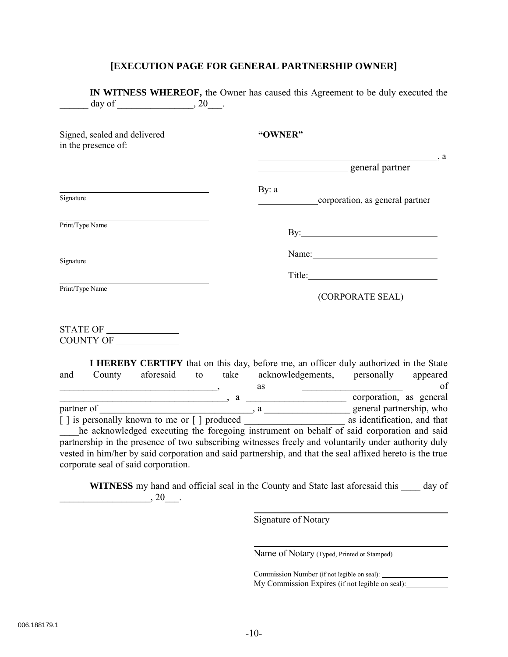#### **[EXECUTION PAGE FOR GENERAL PARTNERSHIP OWNER]**

**IN WITNESS WHEREOF,** the Owner has caused this Agreement to be duly executed the day of \_\_\_\_\_\_\_\_\_\_\_\_\_\_\_\_, 20\_\_\_. Signed, sealed and delivered in the presence of: Signature Print/Type Name Signature Print/Type Name **"OWNER"**  $\_\_$  a general partner By: a corporation, as general partner By: **Example 2018** Name: Title: (CORPORATE SEAL) STATE OF COUNTY OF **I HEREBY CERTIFY** that on this day, before me, an officer duly authorized in the State and County aforesaid to take acknowledgements, personally appeared  $\overline{\phantom{a}}$  as  $\overline{\phantom{a}}$  as  $\overline{\phantom{a}}$  of  $\frac{1}{\text{partner of}}$ , a  $\frac{1}{\text{parent} \text{ parent} \text{ parent} \text{ parent} \text{ parent} \text{ part} \text{ }$ , who partnership, who general partnership, who

 $\begin{bmatrix} \vert \vert \end{bmatrix}$  is personally known to me or  $\begin{bmatrix} \vert \end{bmatrix}$  produced as identification, and that he acknowledged executing the foregoing instrument on behalf of said corporation and said partnership in the presence of two subscribing witnesses freely and voluntarily under authority duly vested in him/her by said corporation and said partnership, and that the seal affixed hereto is the true corporate seal of said corporation.

**WITNESS** my hand and official seal in the County and State last aforesaid this day of  $, 20$ 

l

 $\overline{\phantom{0}}$ 

Signature of Notary

Name of Notary (Typed, Printed or Stamped)

Commission Number (if not legible on seal): My Commission Expires (if not legible on seal):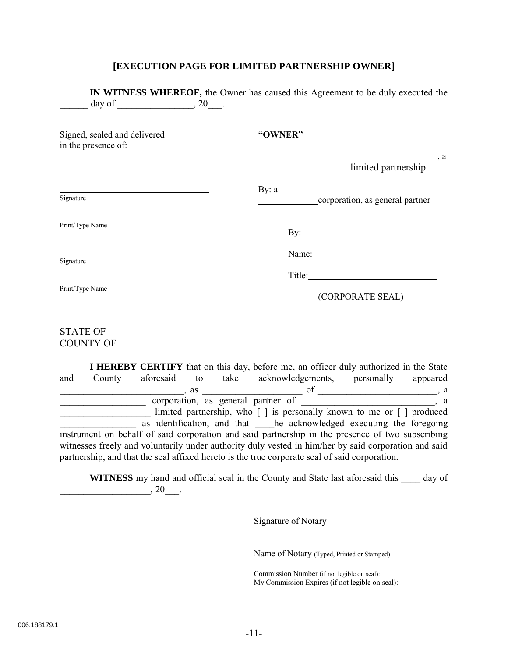#### **[EXECUTION PAGE FOR LIMITED PARTNERSHIP OWNER]**

|                                                     | <b>IN WITNESS WHEREOF,</b> the Owner has caused this Agreement to be duly executed the |
|-----------------------------------------------------|----------------------------------------------------------------------------------------|
| Signed, sealed and delivered<br>in the presence of: | "OWNER"                                                                                |
|                                                     | $\overline{\phantom{a}}$ , a<br>limited partnership                                    |
| Signature                                           | By: $a$<br>corporation, as general partner                                             |
| Print/Type Name                                     | $\mathbf{By:}\_\_\_\_\$                                                                |
| Signature                                           |                                                                                        |
|                                                     | Title: Title:                                                                          |
| Print/Type Name                                     | (CORPORATE SEAL)                                                                       |
| STATE OF<br><b>COUNTY OF</b>                        |                                                                                        |

**I HEREBY CERTIFY** that on this day, before me, an officer duly authorized in the State and County aforesaid to take acknowledgements, personally appeared  $\alpha$ , as  $\alpha$ corporation, as general partner of \_\_\_\_\_\_\_\_\_\_\_\_\_\_\_\_\_\_\_, a \_\_\_\_\_\_\_\_\_\_\_\_\_\_\_\_\_\_\_ limited partnership, who [ ] is personally known to me or [ ] produced as identification, and that \_\_\_\_he acknowledged executing the foregoing instrument on behalf of said corporation and said partnership in the presence of two subscribing witnesses freely and voluntarily under authority duly vested in him/her by said corporation and said partnership, and that the seal affixed hereto is the true corporate seal of said corporation.

**WITNESS** my hand and official seal in the County and State last aforesaid this \_\_\_\_ day of  $, 20$ 

 $\overline{a}$ 

 $\overline{a}$ 

Signature of Notary

Name of Notary (Typed, Printed or Stamped)

Commission Number (if not legible on seal): My Commission Expires (if not legible on seal):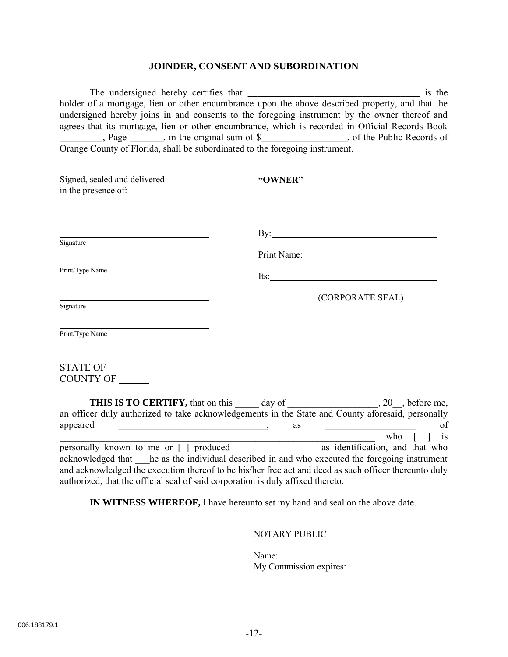#### **JOINDER, CONSENT AND SUBORDINATION**

The undersigned hereby certifies that **\_\_\_\_\_\_\_\_\_\_\_\_\_\_\_\_\_\_\_\_\_\_\_\_\_\_\_\_\_\_\_\_\_\_\_\_** is the holder of a mortgage, lien or other encumbrance upon the above described property, and that the undersigned hereby joins in and consents to the foregoing instrument by the owner thereof and agrees that its mortgage, lien or other encumbrance, which is recorded in Official Records Book Logginston and the original sum of \$\_\_\_\_\_\_\_\_\_\_\_\_\_\_\_, of the Public Records of Orange County of Florida, shall be subordinated to the foregoing instrument.

| Signed, sealed and delivered<br>in the presence of:                                                                                                                                                                                                                                                                                                                                                                                                                                                                                                                                                                                                                                                               | "OWNER"                                                                                                                    |
|-------------------------------------------------------------------------------------------------------------------------------------------------------------------------------------------------------------------------------------------------------------------------------------------------------------------------------------------------------------------------------------------------------------------------------------------------------------------------------------------------------------------------------------------------------------------------------------------------------------------------------------------------------------------------------------------------------------------|----------------------------------------------------------------------------------------------------------------------------|
|                                                                                                                                                                                                                                                                                                                                                                                                                                                                                                                                                                                                                                                                                                                   |                                                                                                                            |
| Signature                                                                                                                                                                                                                                                                                                                                                                                                                                                                                                                                                                                                                                                                                                         | By: $\qquad \qquad$<br>Print Name: 1988                                                                                    |
| Print/Type Name                                                                                                                                                                                                                                                                                                                                                                                                                                                                                                                                                                                                                                                                                                   | Its: $\qquad \qquad$                                                                                                       |
| Signature                                                                                                                                                                                                                                                                                                                                                                                                                                                                                                                                                                                                                                                                                                         | (CORPORATE SEAL)                                                                                                           |
| Print/Type Name                                                                                                                                                                                                                                                                                                                                                                                                                                                                                                                                                                                                                                                                                                   |                                                                                                                            |
| COUNTY OF                                                                                                                                                                                                                                                                                                                                                                                                                                                                                                                                                                                                                                                                                                         |                                                                                                                            |
| an officer duly authorized to take acknowledgements in the State and County aforesaid, personally<br>appeared<br>$\begin{tabular}{ccccccccc} \multicolumn{2}{c }{\textbf{\textcolor{blue}{\bf \textcolor{blue}{\bf \textcolor{blue}{\bf \textcolor{blue}{\bf \textcolor{blue}{\bf \textcolor{blue}{\bf \textcolor{blue}{\bf \textcolor{blue}{\bf \textcolor{blue}{\bf \textcolor{blue}{\bf \textcolor{blue}{\bf \textcolor{blue}{\bf \textcolor{blue}{\bf \textcolor{blue}{\bf \textcolor{blue}{\bf \textcolor{blue}{\bf \textcolor{blue}{\bf \textcolor{blue}{\bf \textcolor{blue}{\bf \textcolor{blue}{\bf \textcolor{blue}{\bf \textcolor{blue}{\bf \textcolor{blue}{\bf \textcolor{blue}{\bf \textcolor{blue$ | <b>THIS IS TO CERTIFY,</b> that on this ______ day of _____________________, 20__, before me,<br>of<br>as<br>who [ ]<br>is |

personally known to me or [ ] produced as identification, and that who acknowledged that he as the individual described in and who executed the foregoing instrument and acknowledged the execution thereof to be his/her free act and deed as such officer thereunto duly authorized, that the official seal of said corporation is duly affixed thereto.

**IN WITNESS WHEREOF,** I have hereunto set my hand and seal on the above date.

NOTARY PUBLIC

Name:

My Commission expires: